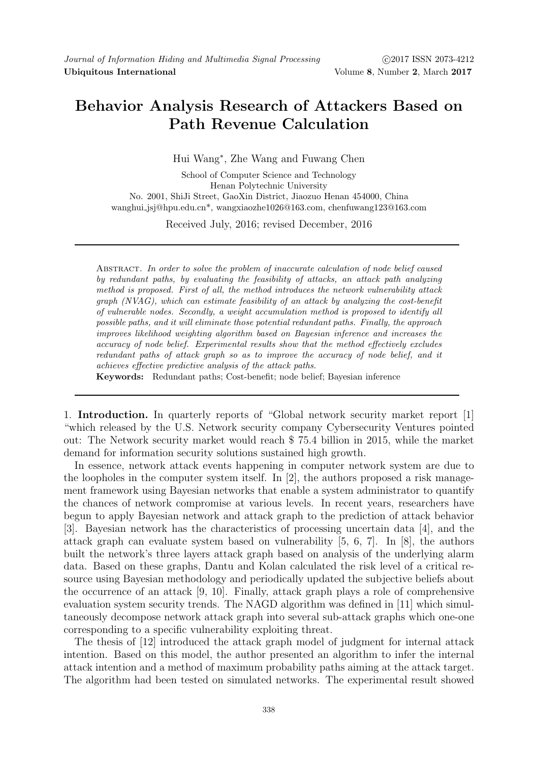# Behavior Analysis Research of Attackers Based on Path Revenue Calculation

Hui Wang<sup>∗</sup> , Zhe Wang and Fuwang Chen

School of Computer Science and Technology Henan Polytechnic University No. 2001, ShiJi Street, GaoXin District, Jiaozuo Henan 454000, China wanghui jsj@hpu.edu.cn\*, wangxiaozhe1026@163.com, chenfuwang123@163.com

Received July, 2016; revised December, 2016

ABSTRACT. In order to solve the problem of inaccurate calculation of node belief caused by redundant paths, by evaluating the feasibility of attacks, an attack path analyzing method is proposed. First of all, the method introduces the network vulnerability attack graph (NVAG), which can estimate feasibility of an attack by analyzing the cost-benefit of vulnerable nodes. Secondly, a weight accumulation method is proposed to identify all possible paths, and it will eliminate those potential redundant paths. Finally, the approach improves likelihood weighting algorithm based on Bayesian inference and increases the accuracy of node belief. Experimental results show that the method effectively excludes redundant paths of attack graph so as to improve the accuracy of node belief, and it achieves effective predictive analysis of the attack paths.

Keywords: Redundant paths; Cost-benefit; node belief; Bayesian inference

1. Introduction. In quarterly reports of "Global network security market report [1] "which released by the U.S. Network security company Cybersecurity Ventures pointed out: The Network security market would reach \$ 75.4 billion in 2015, while the market demand for information security solutions sustained high growth.

In essence, network attack events happening in computer network system are due to the loopholes in the computer system itself. In  $[2]$ , the authors proposed a risk management framework using Bayesian networks that enable a system administrator to quantify the chances of network compromise at various levels. In recent years, researchers have begun to apply Bayesian network and attack graph to the prediction of attack behavior [3]. Bayesian network has the characteristics of processing uncertain data [4], and the attack graph can evaluate system based on vulnerability [5, 6, 7]. In [8], the authors built the network's three layers attack graph based on analysis of the underlying alarm data. Based on these graphs, Dantu and Kolan calculated the risk level of a critical resource using Bayesian methodology and periodically updated the subjective beliefs about the occurrence of an attack [9, 10]. Finally, attack graph plays a role of comprehensive evaluation system security trends. The NAGD algorithm was defined in [11] which simultaneously decompose network attack graph into several sub-attack graphs which one-one corresponding to a specific vulnerability exploiting threat.

The thesis of [12] introduced the attack graph model of judgment for internal attack intention. Based on this model, the author presented an algorithm to infer the internal attack intention and a method of maximum probability paths aiming at the attack target. The algorithm had been tested on simulated networks. The experimental result showed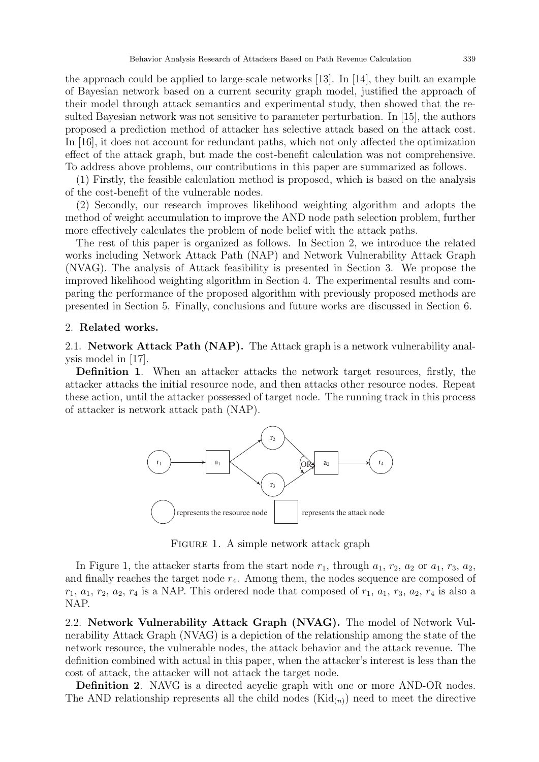the approach could be applied to large-scale networks [13]. In [14], they built an example of Bayesian network based on a current security graph model, justified the approach of their model through attack semantics and experimental study, then showed that the resulted Bayesian network was not sensitive to parameter perturbation. In [15], the authors proposed a prediction method of attacker has selective attack based on the attack cost. In [16], it does not account for redundant paths, which not only affected the optimization effect of the attack graph, but made the cost-benefit calculation was not comprehensive. To address above problems, our contributions in this paper are summarized as follows.

(1) Firstly, the feasible calculation method is proposed, which is based on the analysis of the cost-benefit of the vulnerable nodes.

(2) Secondly, our research improves likelihood weighting algorithm and adopts the method of weight accumulation to improve the AND node path selection problem, further more effectively calculates the problem of node belief with the attack paths.

The rest of this paper is organized as follows. In Section 2, we introduce the related works including Network Attack Path (NAP) and Network Vulnerability Attack Graph (NVAG). The analysis of Attack feasibility is presented in Section 3. We propose the improved likelihood weighting algorithm in Section 4. The experimental results and comparing the performance of the proposed algorithm with previously proposed methods are presented in Section 5. Finally, conclusions and future works are discussed in Section 6.

#### 2. Related works.

2.1. Network Attack Path (NAP). The Attack graph is a network vulnerability analysis model in [17].

Definition 1. When an attacker attacks the network target resources, firstly, the attacker attacks the initial resource node, and then attacks other resource nodes. Repeat these action, until the attacker possessed of target node. The running track in this process of attacker is network attack path (NAP).



FIGURE 1. A simple network attack graph

In Figure 1, the attacker starts from the start node  $r_1$ , through  $a_1$ ,  $r_2$ ,  $a_2$  or  $a_1$ ,  $r_3$ ,  $a_2$ , and finally reaches the target node  $r_4$ . Among them, the nodes sequence are composed of  $r_1, a_1, r_2, a_2, r_4$  is a NAP. This ordered node that composed of  $r_1, a_1, r_3, a_2, r_4$  is also a NAP.

2.2. Network Vulnerability Attack Graph (NVAG). The model of Network Vulnerability Attack Graph (NVAG) is a depiction of the relationship among the state of the network resource, the vulnerable nodes, the attack behavior and the attack revenue. The definition combined with actual in this paper, when the attacker's interest is less than the cost of attack, the attacker will not attack the target node.

Definition 2. NAVG is a directed acyclic graph with one or more AND-OR nodes. The AND relationship represents all the child nodes  $(Kid_{(n)})$  need to meet the directive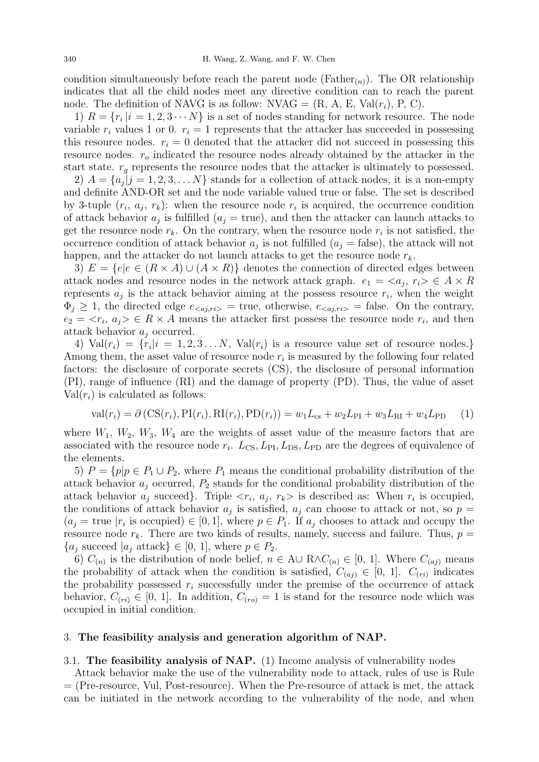condition simultaneously before reach the parent node ( $Father_{(n)}$ ). The OR relationship indicates that all the child nodes meet any directive condition can to reach the parent node. The definition of NAVG is as follow: NVAG =  $(R, A, E, Val(r_i), P, C)$ .

1)  $R = \{r_i \mid i = 1, 2, 3 \cdots N\}$  is a set of nodes standing for network resource. The node variable  $r_i$  values 1 or 0.  $r_i = 1$  represents that the attacker has succeeded in possessing this resource nodes.  $r_i = 0$  denoted that the attacker did not succeed in possessing this resource nodes.  $r<sub>o</sub>$  indicated the resource nodes already obtained by the attacker in the start state.  $r_g$  represents the resource nodes that the attacker is ultimately to possessed.

2)  $A = \{a_j | j = 1, 2, 3, \ldots N\}$  stands for a collection of attack nodes, it is a non-empty and definite AND-OR set and the node variable valued true or false. The set is described by 3-tuple  $(r_i, a_j, r_k)$ : when the resource node  $r_i$  is acquired, the occurrence condition of attack behavior  $a_j$  is fulfilled  $(a_j = \text{true})$ , and then the attacker can launch attacks to get the resource node  $r_k$ . On the contrary, when the resource node  $r_i$  is not satisfied, the occurrence condition of attack behavior  $a_j$  is not fulfilled  $(a_j = false)$ , the attack will not happen, and the attacker do not launch attacks to get the resource node  $r_k$ .

3)  $E = \{e | e \in (R \times A) \cup (A \times R)\}\$  denotes the connection of directed edges between attack nodes and resource nodes in the network attack graph.  $e_1 = \langle a_j, r_i \rangle \in A \times R$ represents  $a_j$  is the attack behavior aiming at the possess resource  $r_i$ , when the weight  $\Phi_j \geq 1$ , the directed edge  $e_{\langle aj, r i \rangle}$  = true, otherwise,  $e_{\langle aj, r i \rangle}$  = false. On the contrary,  $e_2 = \langle r_i, a_j \rangle \in R \times A$  means the attacker first possess the resource node  $r_i$ , and then attack behavior  $a_i$  occurred.

4)  $Val(r_i) = \{r_i | i = 1, 2, 3 \ldots N, Val(r_i)$  is a resource value set of resource nodes. Among them, the asset value of resource node  $r_i$  is measured by the following four related factors: the disclosure of corporate secrets (CS), the disclosure of personal information (PI), range of influence (RI) and the damage of property (PD). Thus, the value of asset  $Val(r_i)$  is calculated as follows:

$$
\text{val}(r_i) = \partial (\text{CS}(r_i), \text{PI}(r_i), \text{RI}(r_i), \text{PD}(r_i)) = w_1 L_{\text{cs}} + w_2 L_{\text{PI}} + w_3 L_{\text{RI}} + w_4 L_{\text{PD}} \tag{1}
$$

where  $W_1, W_2, W_3, W_4$  are the weights of asset value of the measure factors that are associated with the resource node  $r_i$ .  $L_{\text{CS}}$ ,  $L_{\text{PI}}$ ,  $L_{\text{DS}}$ ,  $L_{\text{PD}}$  are the degrees of equivalence of the elements.

5)  $P = \{p | p \in P_1 \cup P_2, \text{ where } P_1 \text{ means the conditional probability distribution of the } \}$ attack behavior  $a_j$  occurred,  $P_2$  stands for the conditional probability distribution of the attack behavior  $a_j$  succeed. Triple  $\langle r_i, a_j, r_k \rangle$  is described as: When  $r_i$  is occupied, the conditions of attack behavior  $a_j$  is satisfied,  $a_j$  can choose to attack or not, so  $p =$  $(a_j = \text{true} | r_i \text{ is occupied}) \in [0, 1],$  where  $p \in P_1$ . If  $a_j$  chooses to attack and occupy the resource node  $r_k$ . There are two kinds of results, namely, success and failure. Thus,  $p =$  ${a_j \text{ succeed } |a_j \text{ attack}} \in [0, 1]$ , where  $p \in P_2$ .

6)  $C_{(n)}$  is the distribution of node belief,  $n \in A \cup R \wedge C_{(n)} \in [0, 1]$ . Where  $C_{(aj)}$  means the probability of attack when the condition is satisfied,  $C_{(aj)} \in [0, 1]$ .  $C_{(ri)}$  indicates the probability possessed  $r_i$  successfully under the premise of the occurrence of attack behavior,  $C_{(ri)} \in [0, 1]$ . In addition,  $C_{(ro)} = 1$  is stand for the resource node which was occupied in initial condition.

#### 3. The feasibility analysis and generation algorithm of NAP.

### 3.1. The feasibility analysis of NAP. (1) Income analysis of vulnerability nodes

Attack behavior make the use of the vulnerability node to attack, rules of use is Rule = (Pre-resource, Vul, Post-resource). When the Pre-resource of attack is met, the attack can be initiated in the network according to the vulnerability of the node, and when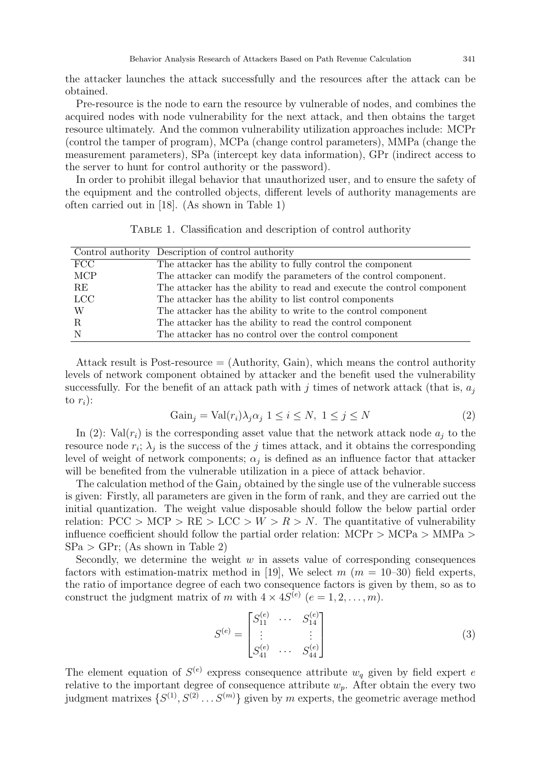the attacker launches the attack successfully and the resources after the attack can be obtained.

Pre-resource is the node to earn the resource by vulnerable of nodes, and combines the acquired nodes with node vulnerability for the next attack, and then obtains the target resource ultimately. And the common vulnerability utilization approaches include: MCPr (control the tamper of program), MCPa (change control parameters), MMPa (change the measurement parameters), SPa (intercept key data information), GPr (indirect access to the server to hunt for control authority or the password).

In order to prohibit illegal behavior that unauthorized user, and to ensure the safety of the equipment and the controlled objects, different levels of authority managements are often carried out in [18]. (As shown in Table 1)

Table 1. Classification and description of control authority

|            | Control authority Description of control authority                     |
|------------|------------------------------------------------------------------------|
| FCC        | The attacker has the ability to fully control the component            |
| <b>MCP</b> | The attacker can modify the parameters of the control component.       |
| <b>RE</b>  | The attacker has the ability to read and execute the control component |
| <b>LCC</b> | The attacker has the ability to list control components                |
| W          | The attacker has the ability to write to the control component         |
| -R.        | The attacker has the ability to read the control component             |
|            | The attacker has no control over the control component                 |

Attack result is Post-resource  $=$  (Authority, Gain), which means the control authority levels of network component obtained by attacker and the benefit used the vulnerability successfully. For the benefit of an attack path with j times of network attack (that is,  $a_i$ to  $r_i$ :

$$
Gain_j = Val(r_i) \lambda_j \alpha_j \ 1 \le i \le N, \ 1 \le j \le N
$$
\n<sup>(2)</sup>

In (2): Val $(r_i)$  is the corresponding asset value that the network attack node  $a_i$  to the resource node  $r_i$ ;  $\lambda_j$  is the success of the j times attack, and it obtains the corresponding level of weight of network components;  $\alpha_j$  is defined as an influence factor that attacker will be benefited from the vulnerable utilization in a piece of attack behavior.

The calculation method of the  $Gain_i$  obtained by the single use of the vulnerable success is given: Firstly, all parameters are given in the form of rank, and they are carried out the initial quantization. The weight value disposable should follow the below partial order relation:  $PCC > MCP > RE > LCC > W > R > N$ . The quantitative of vulnerability influence coefficient should follow the partial order relation:  $\text{MCPr} > \text{MCPa} > \text{MMPa} >$  $SPa > GPr$ ; (As shown in Table 2)

Secondly, we determine the weight  $w$  in assets value of corresponding consequences factors with estimation-matrix method in [19], We select  $m$  ( $m = 10-30$ ) field experts, the ratio of importance degree of each two consequence factors is given by them, so as to construct the judgment matrix of m with  $4 \times 4S^{(e)}$   $(e = 1, 2, \ldots, m)$ .

$$
S^{(e)} = \begin{bmatrix} S_{11}^{(e)} & \cdots & S_{14}^{(e)} \\ \vdots & & \vdots \\ S_{41}^{(e)} & \cdots & S_{44}^{(e)} \end{bmatrix}
$$
 (3)

The element equation of  $S^{(e)}$  express consequence attribute  $w_q$  given by field expert e relative to the important degree of consequence attribute  $w_p$ . After obtain the every two judgment matrixes  $\{S^{(1)}, S^{(2)} \dots S^{(m)}\}$  given by m experts, the geometric average method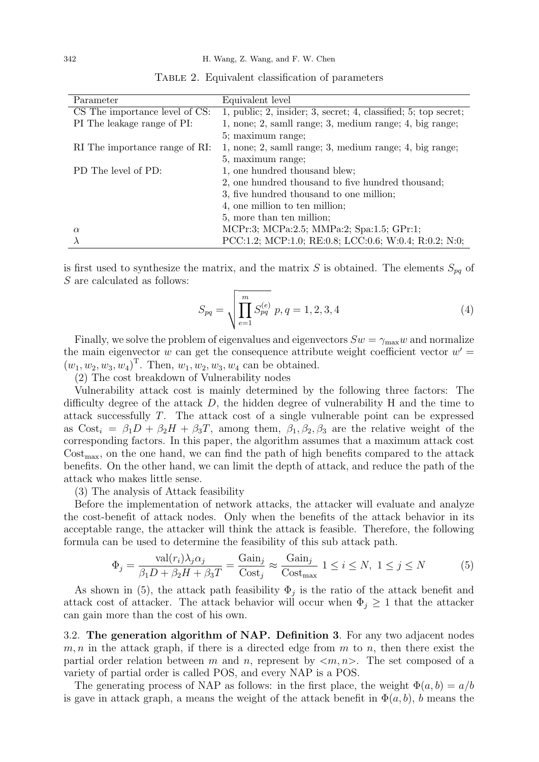| Parameter                      | Equivalent level                                                |
|--------------------------------|-----------------------------------------------------------------|
| CS The importance level of CS: | 1, public; 2, insider; 3, secret; 4, classified; 5; top secret; |
| PI The leakage range of PI:    | 1, none; 2, samll range; 3, medium range; 4, big range;         |
|                                | 5; maximum range;                                               |
| RI The importance range of RI: | 1, none; 2, samll range; 3, medium range; 4, big range;         |
|                                | 5, maximum range;                                               |
| PD The level of PD:            | 1, one hundred thousand blew;                                   |
|                                | 2, one hundred thousand to five hundred thousand;               |
|                                | 3, five hundred thousand to one million;                        |
|                                | 4, one million to ten million;                                  |
|                                | 5, more than ten million;                                       |
| $\alpha$                       | MCPr:3; MCPa:2.5; MMPa:2; Spa:1.5; GPr:1;                       |
|                                | PCC:1.2; MCP:1.0; RE:0.8; LCC:0.6; W:0.4; R:0.2; N:0;           |

Table 2. Equivalent classification of parameters

is first used to synthesize the matrix, and the matrix S is obtained. The elements  $S_{pq}$  of S are calculated as follows:

$$
S_{pq} = \sqrt{\prod_{e=1}^{m} S_{pq}^{(e)}} \ p, q = 1, 2, 3, 4 \tag{4}
$$

Finally, we solve the problem of eigenvalues and eigenvectors  $Sw = \gamma_{\text{max}}w$  and normalize the main eigenvector  $w$  can get the consequence attribute weight coefficient vector  $w' =$  $(w_1, w_2, w_3, w_4)^{\mathrm{T}}$ . Then,  $w_1, w_2, w_3, w_4$  can be obtained.

(2) The cost breakdown of Vulnerability nodes

Vulnerability attack cost is mainly determined by the following three factors: The difficulty degree of the attack D, the hidden degree of vulnerability H and the time to attack successfully T. The attack cost of a single vulnerable point can be expressed as  $Cost_i = \beta_1 D + \beta_2 H + \beta_3 T$ , among them,  $\beta_1, \beta_2, \beta_3$  are the relative weight of the corresponding factors. In this paper, the algorithm assumes that a maximum attack cost  $Cost_{\text{max}}$ , on the one hand, we can find the path of high benefits compared to the attack benefits. On the other hand, we can limit the depth of attack, and reduce the path of the attack who makes little sense.

(3) The analysis of Attack feasibility

Before the implementation of network attacks, the attacker will evaluate and analyze the cost-benefit of attack nodes. Only when the benefits of the attack behavior in its acceptable range, the attacker will think the attack is feasible. Therefore, the following formula can be used to determine the feasibility of this sub attack path.

$$
\Phi_j = \frac{\text{val}(r_i)\lambda_j \alpha_j}{\beta_1 D + \beta_2 H + \beta_3 T} = \frac{\text{Gain}_j}{\text{Cost}_j} \approx \frac{\text{Gain}_j}{\text{Cost}_{\text{max}}} 1 \le i \le N, 1 \le j \le N
$$
\n(5)

As shown in (5), the attack path feasibility  $\Phi_j$  is the ratio of the attack benefit and attack cost of attacker. The attack behavior will occur when  $\Phi_j \geq 1$  that the attacker can gain more than the cost of his own.

3.2. The generation algorithm of NAP. Definition 3. For any two adjacent nodes  $m, n$  in the attack graph, if there is a directed edge from  $m$  to  $n$ , then there exist the partial order relation between m and n, represent by  $\langle m, n \rangle$ . The set composed of a variety of partial order is called POS, and every NAP is a POS.

The generating process of NAP as follows: in the first place, the weight  $\Phi(a, b) = a/b$ is gave in attack graph, a means the weight of the attack benefit in  $\Phi(a, b)$ , b means the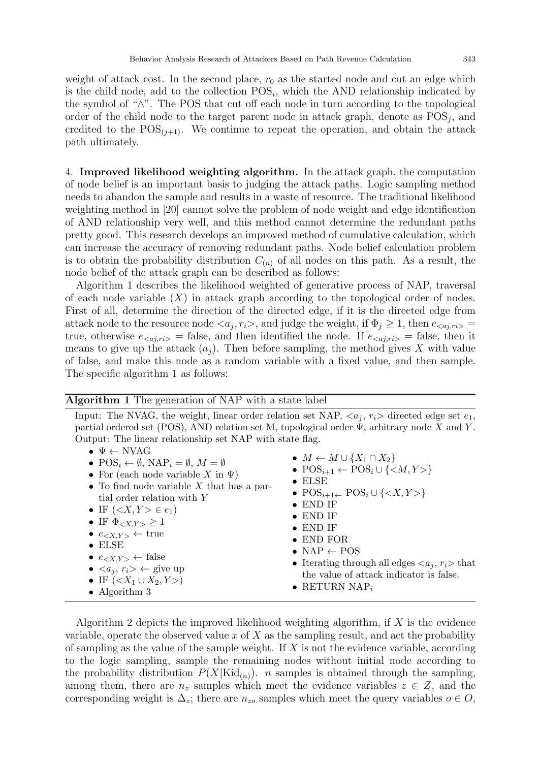weight of attack cost. In the second place,  $r_0$  as the started node and cut an edge which is the child node, add to the collection  $POS_{i}$ , which the AND relationship indicated by the symbol of "∧". The POS that cut off each node in turn according to the topological order of the child node to the target parent node in attack graph, denote as  $POS_j$ , and credited to the  $POS_{(i+1)}$ . We continue to repeat the operation, and obtain the attack path ultimately.

4. Improved likelihood weighting algorithm. In the attack graph, the computation of node belief is an important basis to judging the attack paths. Logic sampling method needs to abandon the sample and results in a waste of resource. The traditional likelihood weighting method in [20] cannot solve the problem of node weight and edge identification of AND relationship very well, and this method cannot determine the redundant paths pretty good. This research develops an improved method of cumulative calculation, which can increase the accuracy of removing redundant paths. Node belief calculation problem is to obtain the probability distribution  $C_{(n)}$  of all nodes on this path. As a result, the node belief of the attack graph can be described as follows:

Algorithm 1 describes the likelihood weighted of generative process of NAP, traversal of each node variable  $(X)$  in attack graph according to the topological order of nodes. First of all, determine the direction of the directed edge, if it is the directed edge from attack node to the resource node  $\langle a_j, r_i \rangle$ , and judge the weight, if  $\Phi_j \geq 1$ , then  $e_{\langle aj, r_i \rangle} =$ true, otherwise  $e_{\langle a_j,r_i\rangle}$  = false, and then identified the node. If  $e_{\langle a_j,r_i\rangle}$  = false, then it means to give up the attack  $(a_j)$ . Then before sampling, the method gives X with value of false, and make this node as a random variable with a fixed value, and then sample. The specific algorithm 1 as follows:

| <b>Algorithm 1</b> The generation of NAP with a state label                                                                                                                                                                                                                                                                                                                                                                                                                                                                                                                                                                                                                                                                                                                                                            |                                                                                                                                                                                                                                                                                                                                                                                                                                                                                                                                            |
|------------------------------------------------------------------------------------------------------------------------------------------------------------------------------------------------------------------------------------------------------------------------------------------------------------------------------------------------------------------------------------------------------------------------------------------------------------------------------------------------------------------------------------------------------------------------------------------------------------------------------------------------------------------------------------------------------------------------------------------------------------------------------------------------------------------------|--------------------------------------------------------------------------------------------------------------------------------------------------------------------------------------------------------------------------------------------------------------------------------------------------------------------------------------------------------------------------------------------------------------------------------------------------------------------------------------------------------------------------------------------|
| Input: The NVAG, the weight, linear order relation set NAP, $\langle a_i, r_i \rangle$ directed edge set $e_1$ ,<br>partial ordered set (POS), AND relation set M, topological order $\Psi$ , arbitrary node X and Y.<br>Output: The linear relationship set NAP with state flag.<br>$\bullet \Psi \leftarrow \text{NVAG}$<br>• $POS_i \leftarrow \emptyset$ , $NAP_i = \emptyset$ , $M = \emptyset$<br>• For (each node variable X in $\Psi$ )<br>• To find node variable $X$ that has a par-<br>tial order relation with Y<br>• IF $(X,Y > e1)$<br>• IF $\Phi_{\langle X, Y \rangle} \geq 1$<br>• $e_{\langle X,Y\rangle} \leftarrow \text{true}$<br>$\bullet$ ELSE<br>• $e_{\langle X, Y \rangle} \leftarrow$ false<br>• $\langle a_i, r_i \rangle \leftarrow$ give up<br>• IF $(X1 \cup X2, Y)$<br>• Algorithm $3$ | $\bullet M \leftarrow M \cup \{X_1 \cap X_2\}$<br>• $POS_{i+1} \leftarrow POS_{i} \cup \{\langle M, Y \rangle\}$<br>$\bullet$ ELSE<br>$\bullet$ POS <sub>i+1</sub> POS <sub>i</sub> $\cup$ { <x, y=""> }<br/><math>\bullet</math> END IF<br/><math>\bullet</math> END IF<br/><math>\bullet</math> END IF<br/><math>\bullet</math> END FOR<br/>• NAP <math>\leftarrow</math> POS<br/>• Iterating through all edges <math>\langle a_i, r_i \rangle</math> that<br/>the value of attack indicator is false.<br/>• RETURN NAP<sub>i</sub></x,> |

Algorithm 2 depicts the improved likelihood weighting algorithm, if  $X$  is the evidence variable, operate the observed value x of  $X$  as the sampling result, and act the probability of sampling as the value of the sample weight. If  $X$  is not the evidence variable, according to the logic sampling, sample the remaining nodes without initial node according to the probability distribution  $P(X|\text{Kid}_{(n)})$ . *n* samples is obtained through the sampling, among them, there are  $n_z$  samples which meet the evidence variables  $z \in Z$ , and the corresponding weight is  $\Delta_z$ ; there are  $n_{zo}$  samples which meet the query variables  $o \in O$ ,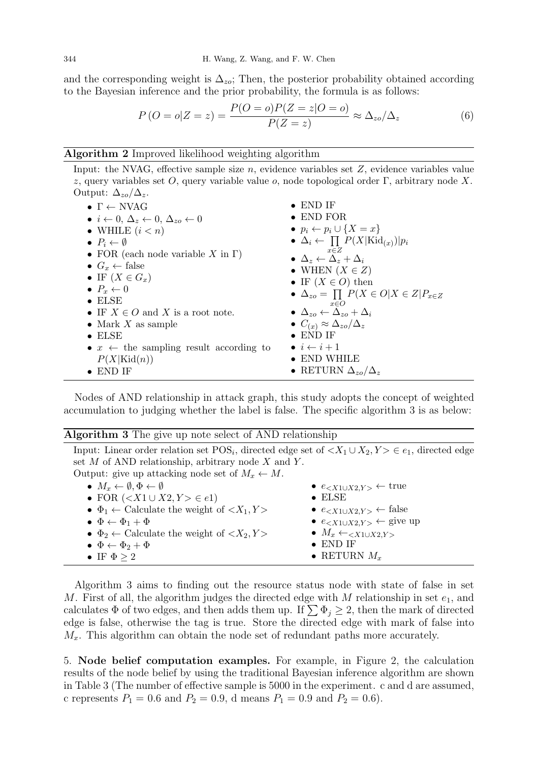and the corresponding weight is  $\Delta_{zo}$ ; Then, the posterior probability obtained according to the Bayesian inference and the prior probability, the formula is as follows:

$$
P\left(O = o|Z = z\right) = \frac{P(O = o)P(Z = z|O = o)}{P(Z = z)} \approx \Delta_{zo}/\Delta_z \tag{6}
$$

## Algorithm 2 Improved likelihood weighting algorithm

Input: the NVAG, effective sample size  $n$ , evidence variables set  $Z$ , evidence variables value z, query variables set O, query variable value  $o$ , node topological order Γ, arbitrary node X. Output:  $\Delta_{zo}/\Delta_z$ .

| $\bullet \Gamma \leftarrow \text{NVAG}$                             | $\bullet$ END IF                                                              |
|---------------------------------------------------------------------|-------------------------------------------------------------------------------|
| • $i \leftarrow 0, \Delta_z \leftarrow 0, \Delta_{zo} \leftarrow 0$ | $\bullet$ END FOR                                                             |
| • WHILE $(i < n)$                                                   | • $p_i \leftarrow p_i \cup \{X = x\}$                                         |
| $\bullet$ $P_i \leftarrow \emptyset$                                | $\bullet \Delta_i \leftarrow \prod P(X \text{Kid}_{(x)}) p_i$                 |
| • FOR (each node variable X in $\Gamma$ )                           | $x \in Z$<br>$\bullet \Delta_z \leftarrow \Delta_z + \Delta_i$                |
| • $G_x \leftarrow \text{false}$                                     | • WHEN $(X \in Z)$                                                            |
| • IF $(X \in G_x)$                                                  | • IF $(X \in O)$ then                                                         |
| $\bullet$ $P_x \leftarrow 0$                                        |                                                                               |
| $\bullet$ ELSE                                                      | $\bullet \Delta_{zo} = \prod P(X \in O   X \in Z   P_{x \in Z})$<br>$x \in O$ |
| • IF $X \in O$ and X is a root note.                                | $\bullet \Delta_{zo} \leftarrow \Delta_{zo} + \Delta_i$                       |
| • Mark $X$ as sample                                                | $\bullet$ $C_{(x)} \approx \Delta_{zo}/\Delta_z$                              |
| $\bullet$ ELSE                                                      | $\bullet$ END IF                                                              |
| • $x \leftarrow$ the sampling result according to                   | $\bullet i \leftarrow i+1$                                                    |
| $P(X \text{Kid}(n))$                                                | $\bullet$ END WHILE                                                           |
| $\bullet$ END IF                                                    | • RETURN $\Delta_{zo}/\Delta_z$                                               |

Nodes of AND relationship in attack graph, this study adopts the concept of weighted accumulation to judging whether the label is false. The specific algorithm 3 is as below:

| <b>Algorithm 3</b> The give up note select of AND relationship                                                            |                                                          |
|---------------------------------------------------------------------------------------------------------------------------|----------------------------------------------------------|
| Input: Linear order relation set $POS_i$ , directed edge set of $\langle X_1 \cup X_2, Y \rangle \in e_1$ , directed edge |                                                          |
| set $M$ of AND relationship, arbitrary node $X$ and $Y$ .                                                                 |                                                          |
| Output: give up attacking node set of $M_x \leftarrow M$ .                                                                |                                                          |
| • $M_x \leftarrow \emptyset, \Phi \leftarrow \emptyset$                                                                   | • $e_{\leq X1\cup X2,Y>} \leftarrow$ true                |
| • FOR $(X1 \cup X2, Y > e1)$                                                                                              | $\bullet$ ELSE                                           |
| $\bullet \Phi_1 \leftarrow$ Calculate the weight of $\langle X_1, Y \rangle$                                              | • $e_{\langle X_1 \cup X_2, Y \rangle} \leftarrow$ false |
| $\bullet \ \Phi \leftarrow \Phi_1 + \Phi$                                                                                 | • $e_{\leq X1\cup X2,Y>} \leftarrow$ give up             |
| $\bullet \Phi_2 \leftarrow$ Calculate the weight of $\langle X_2, Y \rangle$                                              | $\bullet$ $M_x \leftarrow \langle X1 \cup X2,Y \rangle$  |
| $\bullet \ \Phi \leftarrow \Phi_2 + \Phi$                                                                                 | $\bullet$ END IF                                         |
| • IF $\Phi > 2$                                                                                                           | • RETURN $M_x$                                           |
|                                                                                                                           |                                                          |

Algorithm 3 aims to finding out the resource status node with state of false in set M. First of all, the algorithm judges the directed edge with M relationship in set  $e_1$ , and calculates  $\Phi$  of two edges, and then adds them up. If  $\sum \Phi_i \geq 2$ , then the mark of directed edge is false, otherwise the tag is true. Store the directed edge with mark of false into  $M_x$ . This algorithm can obtain the node set of redundant paths more accurately.

5. Node belief computation examples. For example, in Figure 2, the calculation results of the node belief by using the traditional Bayesian inference algorithm are shown in Table 3 (The number of effective sample is 5000 in the experiment. c and d are assumed, c represents  $P_1 = 0.6$  and  $P_2 = 0.9$ , d means  $P_1 = 0.9$  and  $P_2 = 0.6$ ).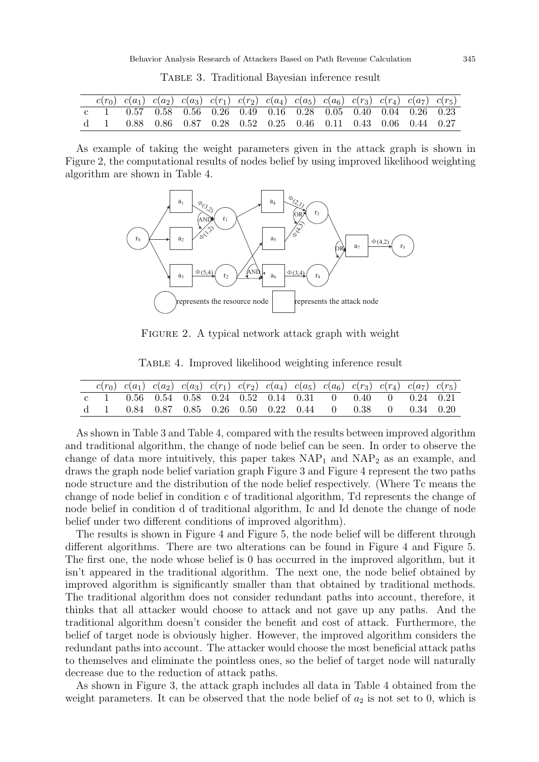|  |  |  |  |  |  | $c(r_0)$ $c(a_1)$ $c(a_2)$ $c(a_3)$ $c(r_1)$ $c(r_2)$ $c(a_4)$ $c(a_5)$ $c(a_6)$ $c(r_3)$ $c(r_4)$ $c(a_7)$ $c(r_5)$ |  |
|--|--|--|--|--|--|----------------------------------------------------------------------------------------------------------------------|--|
|  |  |  |  |  |  | c 1 0.57 0.58 0.56 0.26 0.49 0.16 0.28 0.05 0.40 0.04 0.26 0.23                                                      |  |
|  |  |  |  |  |  | d 1 0.88 0.86 0.87 0.28 0.52 0.25 0.46 0.11 0.43 0.06 0.44 0.27                                                      |  |

Table 3. Traditional Bayesian inference result

As example of taking the weight parameters given in the attack graph is shown in Figure 2, the computational results of nodes belief by using improved likelihood weighting algorithm are shown in Table 4.



FIGURE 2. A typical network attack graph with weight

|  |  |  |  |  |  | $c(r_0)$ $c(a_1)$ $c(a_2)$ $c(a_3)$ $c(r_1)$ $c(r_2)$ $c(a_4)$ $c(a_5)$ $c(a_6)$ $c(r_3)$ $c(r_4)$ $c(a_7)$ $c(r_5)$ |  |
|--|--|--|--|--|--|----------------------------------------------------------------------------------------------------------------------|--|
|  |  |  |  |  |  | c 1 0.56 0.54 0.58 0.24 0.52 0.14 0.31 0 0.40 0 0.24 0.21                                                            |  |
|  |  |  |  |  |  | d 1 0.84 0.87 0.85 0.26 0.50 0.22 0.44 0 0.38 0 0.34 0.20                                                            |  |

Table 4. Improved likelihood weighting inference result

As shown in Table 3 and Table 4, compared with the results between improved algorithm and traditional algorithm, the change of node belief can be seen. In order to observe the change of data more intuitively, this paper takes  $NAP_1$  and  $NAP_2$  as an example, and draws the graph node belief variation graph Figure 3 and Figure 4 represent the two paths node structure and the distribution of the node belief respectively. (Where Tc means the change of node belief in condition c of traditional algorithm, Td represents the change of node belief in condition d of traditional algorithm, Ic and Id denote the change of node belief under two different conditions of improved algorithm).

The results is shown in Figure 4 and Figure 5, the node belief will be different through different algorithms. There are two alterations can be found in Figure 4 and Figure 5. The first one, the node whose belief is 0 has occurred in the improved algorithm, but it isn't appeared in the traditional algorithm. The next one, the node belief obtained by improved algorithm is significantly smaller than that obtained by traditional methods. The traditional algorithm does not consider redundant paths into account, therefore, it thinks that all attacker would choose to attack and not gave up any paths. And the traditional algorithm doesn't consider the benefit and cost of attack. Furthermore, the belief of target node is obviously higher. However, the improved algorithm considers the redundant paths into account. The attacker would choose the most beneficial attack paths to themselves and eliminate the pointless ones, so the belief of target node will naturally decrease due to the reduction of attack paths.

As shown in Figure 3, the attack graph includes all data in Table 4 obtained from the weight parameters. It can be observed that the node belief of  $a_2$  is not set to 0, which is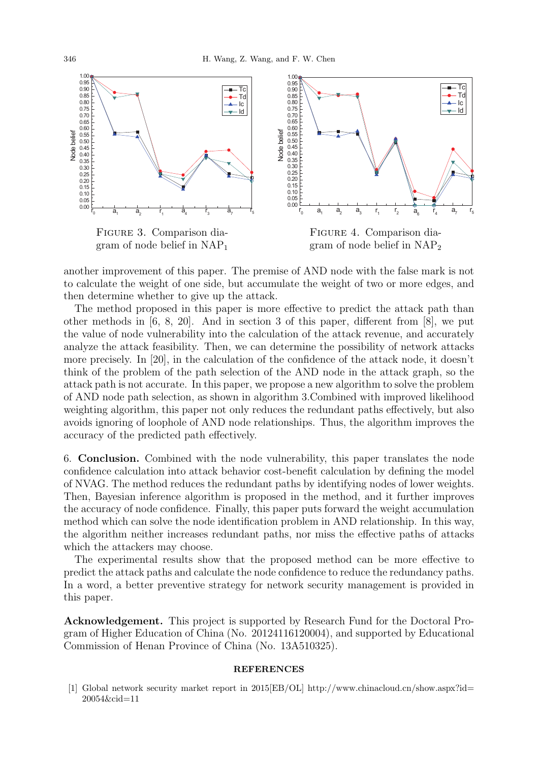

another improvement of this paper. The premise of AND node with the false mark is not to calculate the weight of one side, but accumulate the weight of two or more edges, and then determine whether to give up the attack.

The method proposed in this paper is more effective to predict the attack path than other methods in [6, 8, 20]. And in section 3 of this paper, different from [8], we put the value of node vulnerability into the calculation of the attack revenue, and accurately analyze the attack feasibility. Then, we can determine the possibility of network attacks more precisely. In [20], in the calculation of the confidence of the attack node, it doesn't think of the problem of the path selection of the AND node in the attack graph, so the attack path is not accurate. In this paper, we propose a new algorithm to solve the problem of AND node path selection, as shown in algorithm 3.Combined with improved likelihood weighting algorithm, this paper not only reduces the redundant paths effectively, but also avoids ignoring of loophole of AND node relationships. Thus, the algorithm improves the accuracy of the predicted path effectively.

6. Conclusion. Combined with the node vulnerability, this paper translates the node confidence calculation into attack behavior cost-benefit calculation by defining the model of NVAG. The method reduces the redundant paths by identifying nodes of lower weights. Then, Bayesian inference algorithm is proposed in the method, and it further improves the accuracy of node confidence. Finally, this paper puts forward the weight accumulation method which can solve the node identification problem in AND relationship. In this way, the algorithm neither increases redundant paths, nor miss the effective paths of attacks which the attackers may choose.

The experimental results show that the proposed method can be more effective to predict the attack paths and calculate the node confidence to reduce the redundancy paths. In a word, a better preventive strategy for network security management is provided in this paper.

Acknowledgement. This project is supported by Research Fund for the Doctoral Program of Higher Education of China (No. 20124116120004), and supported by Educational Commission of Henan Province of China (No. 13A510325).

#### **REFERENCES**

[1] Global network security market report in 2015[EB/OL] http://www.chinacloud.cn/show.aspx?id= 20054&cid=11